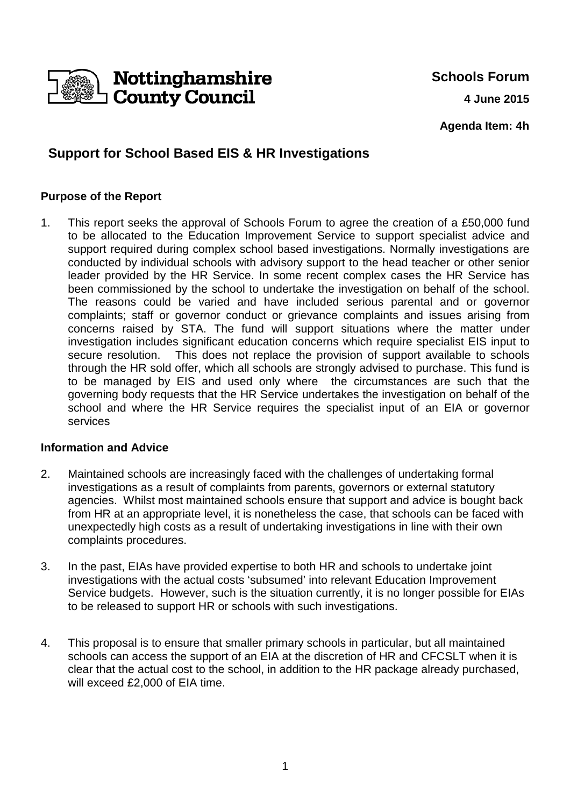

**Schools Forum 4 June 2015**

**Agenda Item: 4h**

# **Support for School Based EIS & HR Investigations**

## **Purpose of the Report**

1. This report seeks the approval of Schools Forum to agree the creation of a £50,000 fund to be allocated to the Education Improvement Service to support specialist advice and support required during complex school based investigations. Normally investigations are conducted by individual schools with advisory support to the head teacher or other senior leader provided by the HR Service. In some recent complex cases the HR Service has been commissioned by the school to undertake the investigation on behalf of the school. The reasons could be varied and have included serious parental and or governor complaints; staff or governor conduct or grievance complaints and issues arising from concerns raised by STA. The fund will support situations where the matter under investigation includes significant education concerns which require specialist EIS input to secure resolution. This does not replace the provision of support available to schools through the HR sold offer, which all schools are strongly advised to purchase. This fund is to be managed by EIS and used only where the circumstances are such that the governing body requests that the HR Service undertakes the investigation on behalf of the school and where the HR Service requires the specialist input of an EIA or governor services

### **Information and Advice**

- 2. Maintained schools are increasingly faced with the challenges of undertaking formal investigations as a result of complaints from parents, governors or external statutory agencies. Whilst most maintained schools ensure that support and advice is bought back from HR at an appropriate level, it is nonetheless the case, that schools can be faced with unexpectedly high costs as a result of undertaking investigations in line with their own complaints procedures.
- 3. In the past, EIAs have provided expertise to both HR and schools to undertake joint investigations with the actual costs 'subsumed' into relevant Education Improvement Service budgets. However, such is the situation currently, it is no longer possible for EIAs to be released to support HR or schools with such investigations.
- 4. This proposal is to ensure that smaller primary schools in particular, but all maintained schools can access the support of an EIA at the discretion of HR and CFCSLT when it is clear that the actual cost to the school, in addition to the HR package already purchased, will exceed £2,000 of EIA time.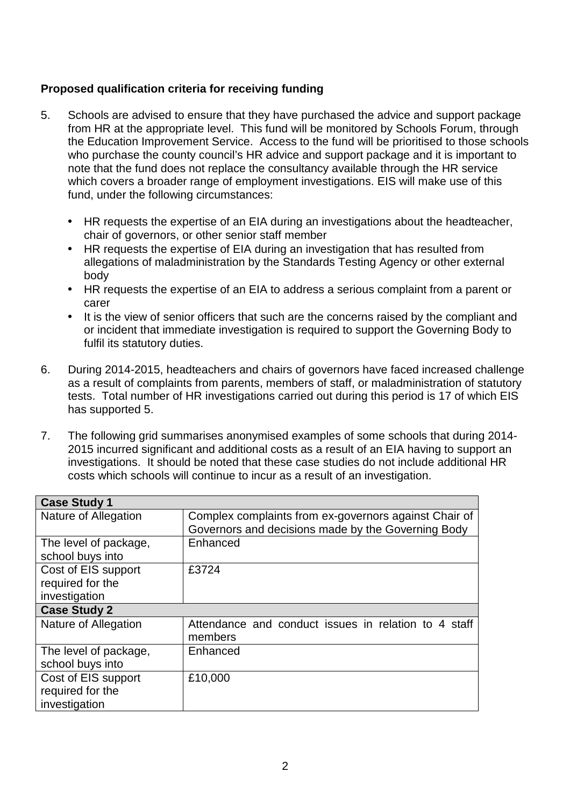## **Proposed qualification criteria for receiving funding**

- 5. Schools are advised to ensure that they have purchased the advice and support package from HR at the appropriate level. This fund will be monitored by Schools Forum, through the Education Improvement Service. Access to the fund will be prioritised to those schools who purchase the county council's HR advice and support package and it is important to note that the fund does not replace the consultancy available through the HR service which covers a broader range of employment investigations. EIS will make use of this fund, under the following circumstances:
	- HR requests the expertise of an EIA during an investigations about the headteacher, chair of governors, or other senior staff member
	- HR requests the expertise of EIA during an investigation that has resulted from allegations of maladministration by the Standards Testing Agency or other external body
	- HR requests the expertise of an EIA to address a serious complaint from a parent or carer
	- It is the view of senior officers that such are the concerns raised by the compliant and or incident that immediate investigation is required to support the Governing Body to fulfil its statutory duties.
- 6. During 2014-2015, headteachers and chairs of governors have faced increased challenge as a result of complaints from parents, members of staff, or maladministration of statutory tests. Total number of HR investigations carried out during this period is 17 of which EIS has supported 5.
- 7. The following grid summarises anonymised examples of some schools that during 2014- 2015 incurred significant and additional costs as a result of an EIA having to support an investigations. It should be noted that these case studies do not include additional HR costs which schools will continue to incur as a result of an investigation.

| <b>Case Study 1</b>         |                                                       |
|-----------------------------|-------------------------------------------------------|
| Nature of Allegation        | Complex complaints from ex-governors against Chair of |
|                             | Governors and decisions made by the Governing Body    |
| The level of package,       | Enhanced                                              |
| school buys into            |                                                       |
| Cost of EIS support         | £3724                                                 |
| required for the            |                                                       |
| investigation               |                                                       |
| <b>Case Study 2</b>         |                                                       |
| <b>Nature of Allegation</b> | Attendance and conduct issues in relation to 4 staff  |
|                             | members                                               |
| The level of package,       | Enhanced                                              |
| school buys into            |                                                       |
| Cost of EIS support         | £10,000                                               |
| required for the            |                                                       |
| investigation               |                                                       |